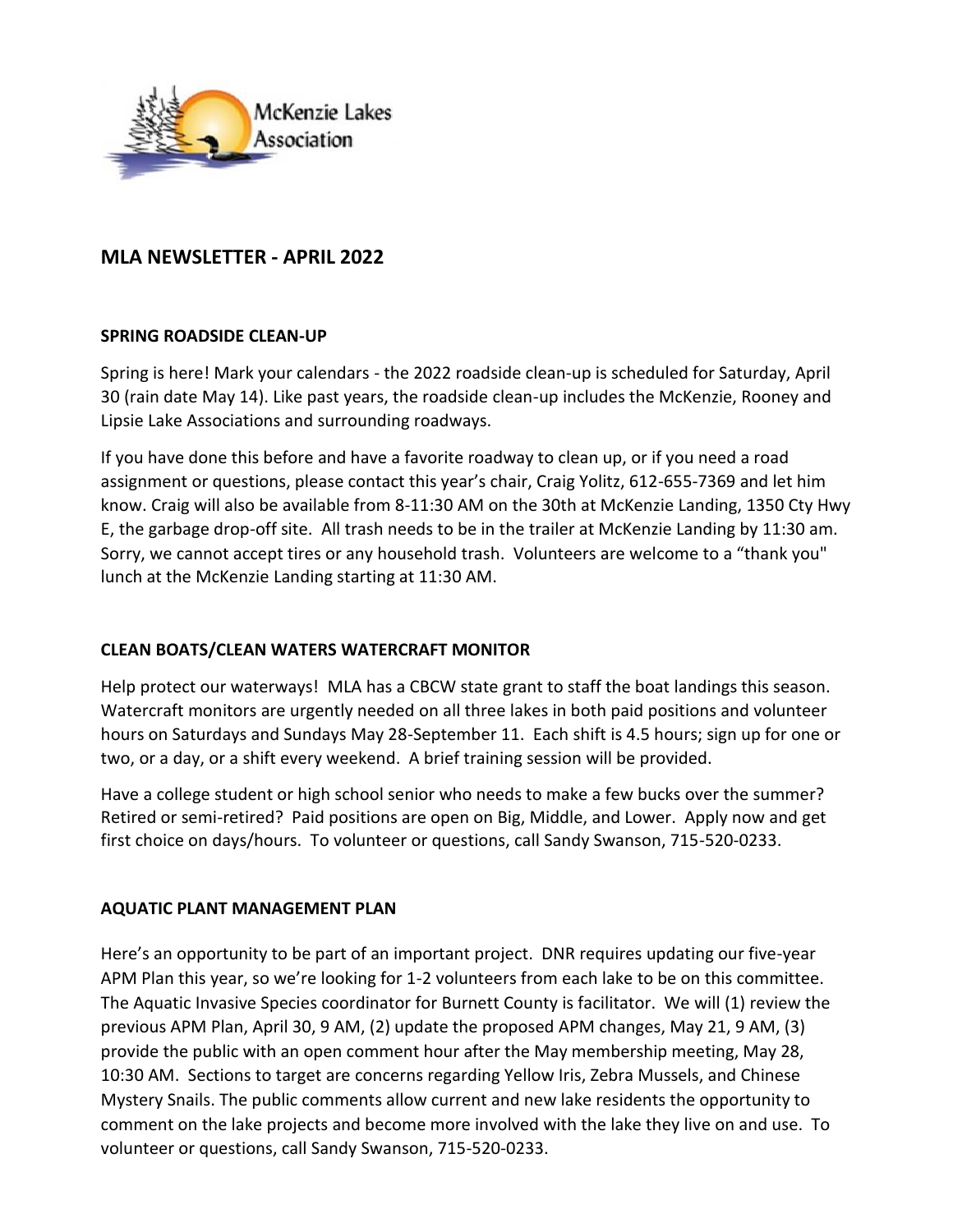

# **MLA NEWSLETTER - APRIL 2022**

### **SPRING ROADSIDE CLEAN-UP**

Spring is here! Mark your calendars - the 2022 roadside clean-up is scheduled for Saturday, April 30 (rain date May 14). Like past years, the roadside clean-up includes the McKenzie, Rooney and Lipsie Lake Associations and surrounding roadways.

If you have done this before and have a favorite roadway to clean up, or if you need a road assignment or questions, please contact this year's chair, Craig Yolitz, 612-655-7369 and let him know. Craig will also be available from 8-11:30 AM on the 30th at McKenzie Landing, 1350 Cty Hwy E, the garbage drop-off site. All trash needs to be in the trailer at McKenzie Landing by 11:30 am. Sorry, we cannot accept tires or any household trash. Volunteers are welcome to a "thank you" lunch at the McKenzie Landing starting at 11:30 AM.

# **CLEAN BOATS/CLEAN WATERS WATERCRAFT MONITOR**

Help protect our waterways! MLA has a CBCW state grant to staff the boat landings this season. Watercraft monitors are urgently needed on all three lakes in both paid positions and volunteer hours on Saturdays and Sundays May 28-September 11. Each shift is 4.5 hours; sign up for one or two, or a day, or a shift every weekend. A brief training session will be provided.

Have a college student or high school senior who needs to make a few bucks over the summer? Retired or semi-retired? Paid positions are open on Big, Middle, and Lower. Apply now and get first choice on days/hours. To volunteer or questions, call Sandy Swanson, 715-520-0233.

### **AQUATIC PLANT MANAGEMENT PLAN**

Here's an opportunity to be part of an important project. DNR requires updating our five-year APM Plan this year, so we're looking for 1-2 volunteers from each lake to be on this committee. The Aquatic Invasive Species coordinator for Burnett County is facilitator. We will (1) review the previous APM Plan, April 30, 9 AM, (2) update the proposed APM changes, May 21, 9 AM, (3) provide the public with an open comment hour after the May membership meeting, May 28, 10:30 AM. Sections to target are concerns regarding Yellow Iris, Zebra Mussels, and Chinese Mystery Snails. The public comments allow current and new lake residents the opportunity to comment on the lake projects and become more involved with the lake they live on and use. To volunteer or questions, call Sandy Swanson, 715-520-0233.